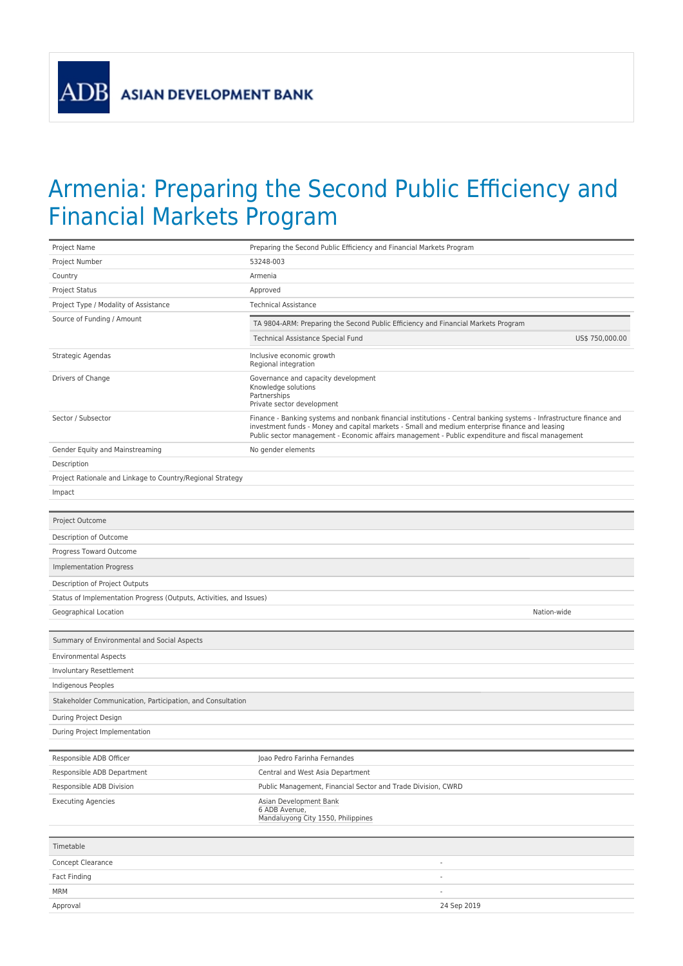**ADB** 

## Armenia: Preparing the Second Public Efficiency and Financial Markets Program

| Project Name                                                        | Preparing the Second Public Efficiency and Financial Markets Program                                                                                                                                                                                                                                                       |  |  |  |  |
|---------------------------------------------------------------------|----------------------------------------------------------------------------------------------------------------------------------------------------------------------------------------------------------------------------------------------------------------------------------------------------------------------------|--|--|--|--|
| Project Number                                                      | 53248-003                                                                                                                                                                                                                                                                                                                  |  |  |  |  |
| Country                                                             | Armenia                                                                                                                                                                                                                                                                                                                    |  |  |  |  |
| Project Status                                                      | Approved                                                                                                                                                                                                                                                                                                                   |  |  |  |  |
| Project Type / Modality of Assistance                               | <b>Technical Assistance</b>                                                                                                                                                                                                                                                                                                |  |  |  |  |
| Source of Funding / Amount                                          | TA 9804-ARM: Preparing the Second Public Efficiency and Financial Markets Program                                                                                                                                                                                                                                          |  |  |  |  |
|                                                                     | Technical Assistance Special Fund<br>US\$ 750,000.00                                                                                                                                                                                                                                                                       |  |  |  |  |
| Strategic Agendas                                                   | Inclusive economic growth<br>Regional integration                                                                                                                                                                                                                                                                          |  |  |  |  |
| Drivers of Change                                                   | Governance and capacity development<br>Knowledge solutions<br>Partnerships<br>Private sector development                                                                                                                                                                                                                   |  |  |  |  |
| Sector / Subsector                                                  | Finance - Banking systems and nonbank financial institutions - Central banking systems - Infrastructure finance and<br>investment funds - Money and capital markets - Small and medium enterprise finance and leasing<br>Public sector management - Economic affairs management - Public expenditure and fiscal management |  |  |  |  |
| Gender Equity and Mainstreaming                                     | No gender elements                                                                                                                                                                                                                                                                                                         |  |  |  |  |
| Description                                                         |                                                                                                                                                                                                                                                                                                                            |  |  |  |  |
| Project Rationale and Linkage to Country/Regional Strategy          |                                                                                                                                                                                                                                                                                                                            |  |  |  |  |
| Impact                                                              |                                                                                                                                                                                                                                                                                                                            |  |  |  |  |
|                                                                     |                                                                                                                                                                                                                                                                                                                            |  |  |  |  |
| Project Outcome                                                     |                                                                                                                                                                                                                                                                                                                            |  |  |  |  |
| Description of Outcome                                              |                                                                                                                                                                                                                                                                                                                            |  |  |  |  |
| Progress Toward Outcome                                             |                                                                                                                                                                                                                                                                                                                            |  |  |  |  |
| <b>Implementation Progress</b>                                      |                                                                                                                                                                                                                                                                                                                            |  |  |  |  |
| Description of Project Outputs                                      |                                                                                                                                                                                                                                                                                                                            |  |  |  |  |
| Status of Implementation Progress (Outputs, Activities, and Issues) |                                                                                                                                                                                                                                                                                                                            |  |  |  |  |
| Geographical Location                                               | Nation-wide                                                                                                                                                                                                                                                                                                                |  |  |  |  |
| Summary of Environmental and Social Aspects                         |                                                                                                                                                                                                                                                                                                                            |  |  |  |  |
| <b>Environmental Aspects</b>                                        |                                                                                                                                                                                                                                                                                                                            |  |  |  |  |
| Involuntary Resettlement                                            |                                                                                                                                                                                                                                                                                                                            |  |  |  |  |
| Indigenous Peoples                                                  |                                                                                                                                                                                                                                                                                                                            |  |  |  |  |
| Stakeholder Communication, Participation, and Consultation          |                                                                                                                                                                                                                                                                                                                            |  |  |  |  |
| During Project Design                                               |                                                                                                                                                                                                                                                                                                                            |  |  |  |  |
| During Project Implementation                                       |                                                                                                                                                                                                                                                                                                                            |  |  |  |  |
| Responsible ADB Officer                                             | Joao Pedro Farinha Fernandes                                                                                                                                                                                                                                                                                               |  |  |  |  |
| Responsible ADB Department                                          | Central and West Asia Department                                                                                                                                                                                                                                                                                           |  |  |  |  |
| Responsible ADB Division                                            | Public Management, Financial Sector and Trade Division, CWRD                                                                                                                                                                                                                                                               |  |  |  |  |
| <b>Executing Agencies</b>                                           | Asian Development Bank<br>6 ADB Avenue,<br>Mandaluyong City 1550, Philippines                                                                                                                                                                                                                                              |  |  |  |  |
| Timetable                                                           |                                                                                                                                                                                                                                                                                                                            |  |  |  |  |
| Concept Clearance                                                   | $\overline{\phantom{a}}$                                                                                                                                                                                                                                                                                                   |  |  |  |  |
| Fact Finding                                                        |                                                                                                                                                                                                                                                                                                                            |  |  |  |  |
|                                                                     |                                                                                                                                                                                                                                                                                                                            |  |  |  |  |
| MRM                                                                 | $\sim$                                                                                                                                                                                                                                                                                                                     |  |  |  |  |